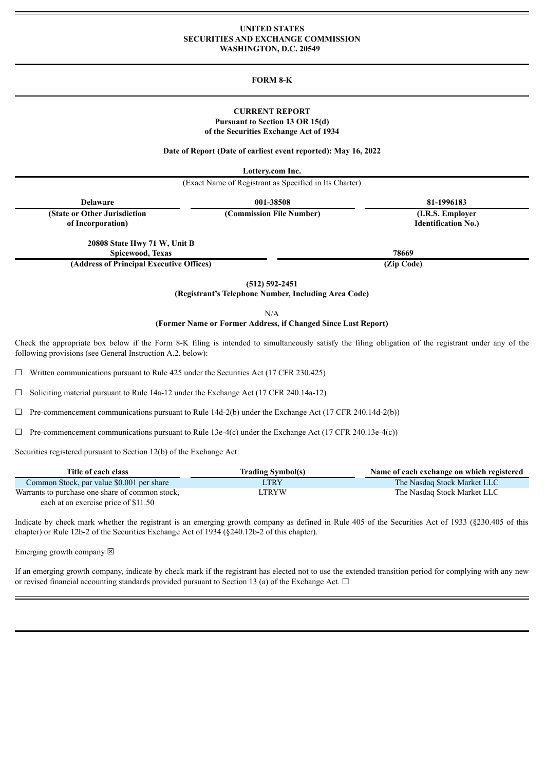#### **UNITED STATES SECURITIES AND EXCHANGE COMMISSION WASHINGTON, D.C. 20549**

### **FORM 8-K**

### **CURRENT REPORT Pursuant to Section 13 OR 15(d) of the Securities Exchange Act of 1934**

#### **Date of Report (Date of earliest event reported): May 16, 2022**

**Lottery.com Inc.**

| (Exact Name of Registrant as Specified in Its Charter) |                          |                            |  |  |  |
|--------------------------------------------------------|--------------------------|----------------------------|--|--|--|
| <b>Delaware</b>                                        | 001-38508                | 81-1996183                 |  |  |  |
| (State or Other Jurisdiction                           | (Commission File Number) | (I.R.S. Employer)          |  |  |  |
| of Incorporation)                                      |                          | <b>Identification No.)</b> |  |  |  |
| 20808 State Hwy 71 W, Unit B                           |                          |                            |  |  |  |
| Spicewood, Texas                                       | 78669                    |                            |  |  |  |
| (Address of Principal Executive Offices)               |                          | (Zip Code)                 |  |  |  |

**(512) 592-2451**

**(Registrant's Telephone Number, Including Area Code)**

N/A

#### **(Former Name or Former Address, if Changed Since Last Report)**

Check the appropriate box below if the Form 8-K filing is intended to simultaneously satisfy the filing obligation of the registrant under any of the following provisions (see General Instruction A.2. below):

 $\Box$  Written communications pursuant to Rule 425 under the Securities Act (17 CFR 230.425)

☐ Soliciting material pursuant to Rule 14a-12 under the Exchange Act (17 CFR 240.14a-12)

 $\Box$  Pre-commencement communications pursuant to Rule 14d-2(b) under the Exchange Act (17 CFR 240.14d-2(b))

 $\Box$  Pre-commencement communications pursuant to Rule 13e-4(c) under the Exchange Act (17 CFR 240.13e-4(c))

Securities registered pursuant to Section 12(b) of the Exchange Act:

| Title of each class                             | <b>Trading Symbol(s)</b> | Name of each exchange on which registered |
|-------------------------------------------------|--------------------------|-------------------------------------------|
| Common Stock, par value \$0.001 per share       | <b>LTRY</b>              | The Nasdag Stock Market LLC               |
| Warrants to purchase one share of common stock, | LTRYW                    | The Nasdaq Stock Market LLC               |
| each at an exercise price of \$11.50            |                          |                                           |

Indicate by check mark whether the registrant is an emerging growth company as defined in Rule 405 of the Securities Act of 1933 (§230.405 of this chapter) or Rule 12b-2 of the Securities Exchange Act of 1934 (§240.12b-2 of this chapter).

Emerging growth company  $\boxtimes$ 

If an emerging growth company, indicate by check mark if the registrant has elected not to use the extended transition period for complying with any new or revised financial accounting standards provided pursuant to Section 13 (a) of the Exchange Act.  $\Box$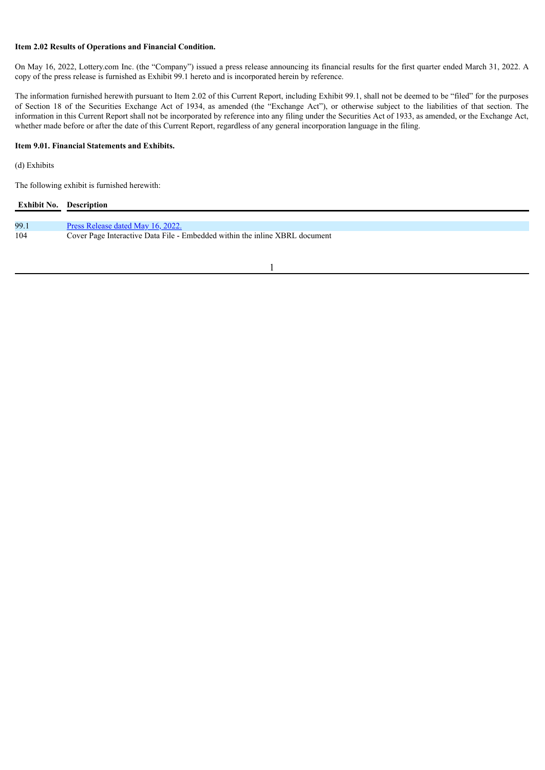## **Item 2.02 Results of Operations and Financial Condition.**

On May 16, 2022, Lottery.com Inc. (the "Company") issued a press release announcing its financial results for the first quarter ended March 31, 2022. A copy of the press release is furnished as Exhibit 99.1 hereto and is incorporated herein by reference.

The information furnished herewith pursuant to Item 2.02 of this Current Report, including Exhibit 99.1, shall not be deemed to be "filed" for the purposes of Section 18 of the Securities Exchange Act of 1934, as amended (the "Exchange Act"), or otherwise subject to the liabilities of that section. The information in this Current Report shall not be incorporated by reference into any filing under the Securities Act of 1933, as amended, or the Exchange Act, whether made before or after the date of this Current Report, regardless of any general incorporation language in the filing.

#### **Item 9.01. Financial Statements and Exhibits.**

## (d) Exhibits

The following exhibit is furnished herewith:

| <b>Exhibit No.</b> Description |                                                                             |
|--------------------------------|-----------------------------------------------------------------------------|
|                                |                                                                             |
| 99.1                           | Press Release dated May 16, 2022.                                           |
| 104                            | Cover Page Interactive Data File - Embedded within the inline XBRL document |
|                                |                                                                             |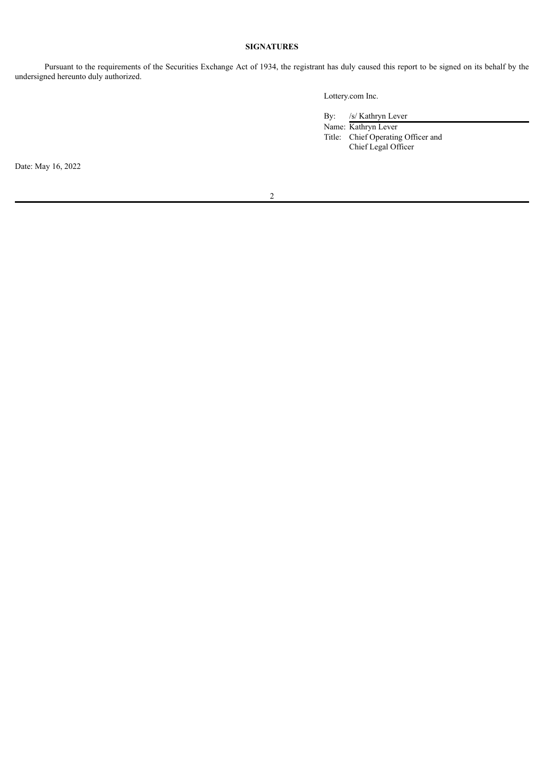## **SIGNATURES**

Pursuant to the requirements of the Securities Exchange Act of 1934, the registrant has duly caused this report to be signed on its behalf by the undersigned hereunto duly authorized.

Lottery.com Inc.

By: /s/ Kathryn Lever

Name: Kathryn Lever Title: Chief Operating Officer and Chief Legal Officer

Date: May 16, 2022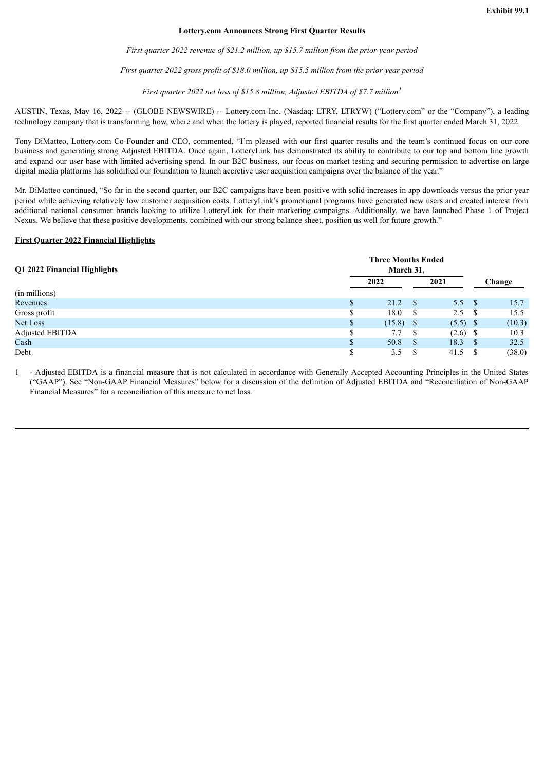#### **Lottery.com Announces Strong First Quarter Results**

*First quarter 2022 revenue of \$21.2 million, up \$15.7 million from the prior-year period*

*First quarter 2022 gross profit of \$18.0 million, up \$15.5 million from the prior-year period*

*First quarter 2022 net loss of \$15.8 million, Adjusted EBITDA of \$7.7 million 1*

<span id="page-3-0"></span>AUSTIN, Texas, May 16, 2022 -- (GLOBE NEWSWIRE) -- Lottery.com Inc. (Nasdaq: LTRY, LTRYW) ("Lottery.com" or the "Company"), a leading technology company that is transforming how, where and when the lottery is played, reported financial results for the first quarter ended March 31, 2022.

Tony DiMatteo, Lottery.com Co-Founder and CEO, commented, "I'm pleased with our first quarter results and the team's continued focus on our core business and generating strong Adjusted EBITDA. Once again, LotteryLink has demonstrated its ability to contribute to our top and bottom line growth and expand our user base with limited advertising spend. In our B2C business, our focus on market testing and securing permission to advertise on large digital media platforms has solidified our foundation to launch accretive user acquisition campaigns over the balance of the year."

Mr. DiMatteo continued, "So far in the second quarter, our B2C campaigns have been positive with solid increases in app downloads versus the prior year period while achieving relatively low customer acquisition costs. LotteryLink's promotional programs have generated new users and created interest from additional national consumer brands looking to utilize LotteryLink for their marketing campaigns. Additionally, we have launched Phase 1 of Project Nexus. We believe that these positive developments, combined with our strong balance sheet, position us well for future growth."

#### **First Quarter 2022 Financial Highlights**

| Q1 2022 Financial Highlights |  | <b>Three Months Ended</b><br>March 31, |              |            |      |        |
|------------------------------|--|----------------------------------------|--------------|------------|------|--------|
|                              |  | 2022                                   |              | 2021       |      | Change |
| (in millions)                |  |                                        |              |            |      |        |
| Revenues                     |  | 21.2                                   | <sup>S</sup> | 5.5 S      |      | 15.7   |
| Gross profit                 |  | 18.0                                   | S            | 2.5        |      | 15.5   |
| <b>Net Loss</b>              |  | $(15.8)$ \$                            |              | $(5.5)$ \$ |      | (10.3) |
| Adjusted EBITDA              |  | 7.7                                    | S            | (2.6)      | - \$ | 10.3   |
| Cash                         |  | 50.8                                   | <sup>S</sup> | 18.3       |      | 32.5   |
| Debt                         |  | 3.5                                    |              | 41.5       |      | (38.0) |

1 - Adjusted EBITDA is a financial measure that is not calculated in accordance with Generally Accepted Accounting Principles in the United States ("GAAP"). See "Non-GAAP Financial Measures" below for a discussion of the definition of Adjusted EBITDA and "Reconciliation of Non-GAAP Financial Measures" for a reconciliation of this measure to net loss.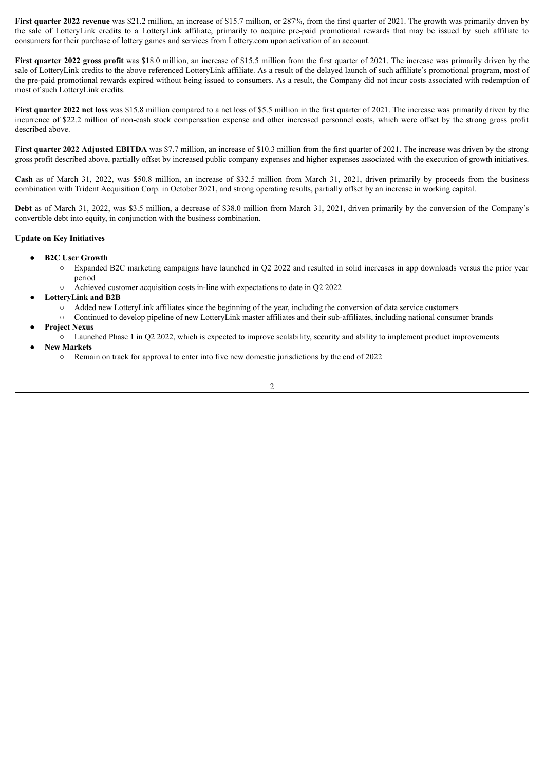**First quarter 2022 revenue** was \$21.2 million, an increase of \$15.7 million, or 287%, from the first quarter of 2021. The growth was primarily driven by the sale of LotteryLink credits to a LotteryLink affiliate, primarily to acquire pre-paid promotional rewards that may be issued by such affiliate to consumers for their purchase of lottery games and services from Lottery.com upon activation of an account.

**First quarter 2022 gross profit** was \$18.0 million, an increase of \$15.5 million from the first quarter of 2021. The increase was primarily driven by the sale of LotteryLink credits to the above referenced LotteryLink affiliate. As a result of the delayed launch of such affiliate's promotional program, most of the pre-paid promotional rewards expired without being issued to consumers. As a result, the Company did not incur costs associated with redemption of most of such LotteryLink credits.

**First quarter 2022 net loss** was \$15.8 million compared to a net loss of \$5.5 million in the first quarter of 2021. The increase was primarily driven by the incurrence of \$22.2 million of non-cash stock compensation expense and other increased personnel costs, which were offset by the strong gross profit described above.

**First quarter 2022 Adjusted EBITDA** was \$7.7 million, an increase of \$10.3 million from the first quarter of 2021. The increase was driven by the strong gross profit described above, partially offset by increased public company expenses and higher expenses associated with the execution of growth initiatives.

**Cash** as of March 31, 2022, was \$50.8 million, an increase of \$32.5 million from March 31, 2021, driven primarily by proceeds from the business combination with Trident Acquisition Corp. in October 2021, and strong operating results, partially offset by an increase in working capital.

**Debt** as of March 31, 2022, was \$3.5 million, a decrease of \$38.0 million from March 31, 2021, driven primarily by the conversion of the Company's convertible debt into equity, in conjunction with the business combination.

### **Update on Key Initiatives**

- **B2C User Growth**
	- Expanded B2C marketing campaigns have launched in Q2 2022 and resulted in solid increases in app downloads versus the prior year period
	- Achieved customer acquisition costs in-line with expectations to date in Q2 2022
- **LotteryLink and B2B**
	- Added new LotteryLink affiliates since the beginning of the year, including the conversion of data service customers
	- Continued to develop pipeline of new LotteryLink master affiliates and their sub-affiliates, including national consumer brands
- **Project Nexus**
	- Launched Phase 1 in Q2 2022, which is expected to improve scalability, security and ability to implement product improvements
- **New Markets**
	- Remain on track for approval to enter into five new domestic jurisdictions by the end of 2022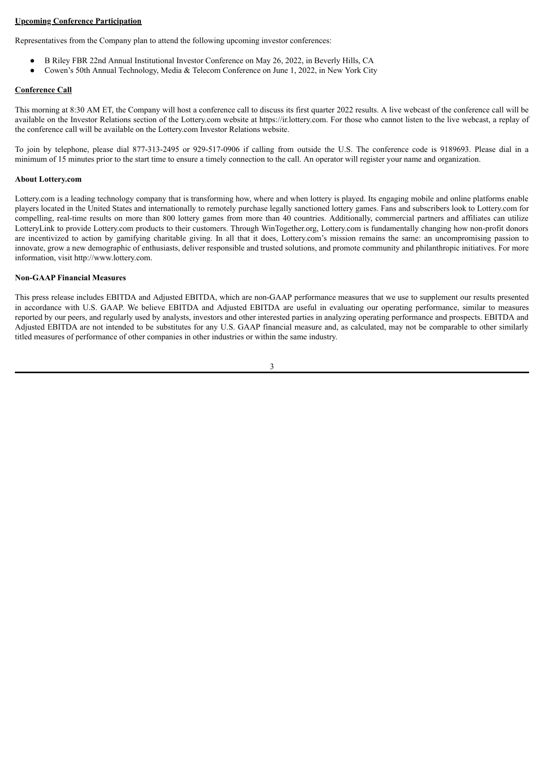### **Upcoming Conference Participation**

Representatives from the Company plan to attend the following upcoming investor conferences:

- B Riley FBR 22nd Annual Institutional Investor Conference on May 26, 2022, in Beverly Hills, CA
- Cowen's 50th Annual Technology, Media & Telecom Conference on June 1, 2022, in New York City

# **Conference Call**

This morning at 8:30 AM ET, the Company will host a conference call to discuss its first quarter 2022 results. A live webcast of the conference call will be available on the Investor Relations section of the Lottery.com website at https://ir.lottery.com. For those who cannot listen to the live webcast, a replay of the conference call will be available on the Lottery.com Investor Relations website.

To join by telephone, please dial 877-313-2495 or 929-517-0906 if calling from outside the U.S. The conference code is 9189693. Please dial in a minimum of 15 minutes prior to the start time to ensure a timely connection to the call. An operator will register your name and organization.

## **About Lottery.com**

Lottery.com is a leading technology company that is transforming how, where and when lottery is played. Its engaging mobile and online platforms enable players located in the United States and internationally to remotely purchase legally sanctioned lottery games. Fans and subscribers look to Lottery.com for compelling, real-time results on more than 800 lottery games from more than 40 countries. Additionally, commercial partners and affiliates can utilize LotteryLink to provide Lottery.com products to their customers. Through WinTogether.org, Lottery.com is fundamentally changing how non-profit donors are incentivized to action by gamifying charitable giving. In all that it does, Lottery.com's mission remains the same: an uncompromising passion to innovate, grow a new demographic of enthusiasts, deliver responsible and trusted solutions, and promote community and philanthropic initiatives. For more information, visit http://www.lottery.com.

### **Non-GAAP Financial Measures**

This press release includes EBITDA and Adjusted EBITDA, which are non-GAAP performance measures that we use to supplement our results presented in accordance with U.S. GAAP. We believe EBITDA and Adjusted EBITDA are useful in evaluating our operating performance, similar to measures reported by our peers, and regularly used by analysts, investors and other interested parties in analyzing operating performance and prospects. EBITDA and Adjusted EBITDA are not intended to be substitutes for any U.S. GAAP financial measure and, as calculated, may not be comparable to other similarly titled measures of performance of other companies in other industries or within the same industry.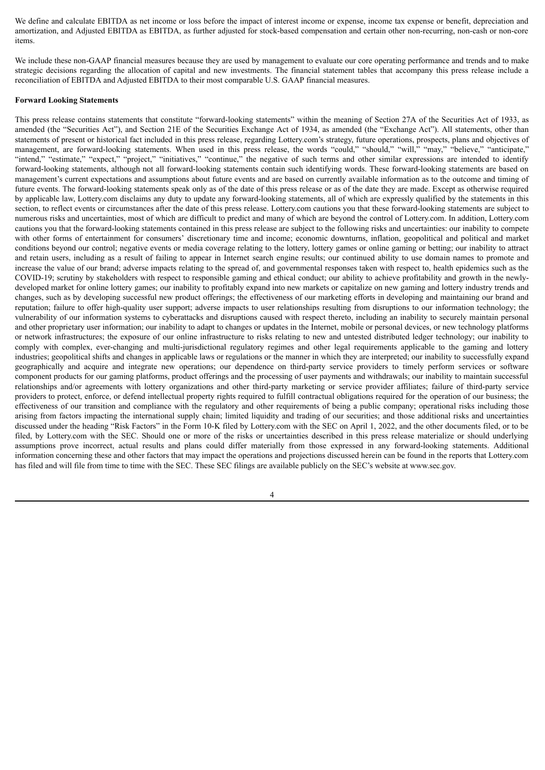We define and calculate EBITDA as net income or loss before the impact of interest income or expense, income tax expense or benefit, depreciation and amortization, and Adjusted EBITDA as EBITDA, as further adjusted for stock-based compensation and certain other non-recurring, non-cash or non-core items.

We include these non-GAAP financial measures because they are used by management to evaluate our core operating performance and trends and to make strategic decisions regarding the allocation of capital and new investments. The financial statement tables that accompany this press release include a reconciliation of EBITDA and Adjusted EBITDA to their most comparable U.S. GAAP financial measures.

#### **Forward Looking Statements**

This press release contains statements that constitute "forward-looking statements" within the meaning of Section 27A of the Securities Act of 1933, as amended (the "Securities Act"), and Section 21E of the Securities Exchange Act of 1934, as amended (the "Exchange Act"). All statements, other than statements of present or historical fact included in this press release, regarding Lottery.com's strategy, future operations, prospects, plans and objectives of management, are forward-looking statements. When used in this press release, the words "could," "should," "will," "may," "believe," "anticipate," "intend," "estimate," "expect," "project," "initiatives," "continue," the negative of such terms and other similar expressions are intended to identify forward-looking statements, although not all forward-looking statements contain such identifying words. These forward-looking statements are based on management's current expectations and assumptions about future events and are based on currently available information as to the outcome and timing of future events. The forward-looking statements speak only as of the date of this press release or as of the date they are made. Except as otherwise required by applicable law, Lottery.com disclaims any duty to update any forward-looking statements, all of which are expressly qualified by the statements in this section, to reflect events or circumstances after the date of this press release. Lottery.com cautions you that these forward-looking statements are subject to numerous risks and uncertainties, most of which are difficult to predict and many of which are beyond the control of Lottery.com. In addition, Lottery.com cautions you that the forward-looking statements contained in this press release are subject to the following risks and uncertainties: our inability to compete with other forms of entertainment for consumers' discretionary time and income; economic downturns, inflation, geopolitical and political and market conditions beyond our control; negative events or media coverage relating to the lottery, lottery games or online gaming or betting; our inability to attract and retain users, including as a result of failing to appear in Internet search engine results; our continued ability to use domain names to promote and increase the value of our brand; adverse impacts relating to the spread of, and governmental responses taken with respect to, health epidemics such as the COVID-19; scrutiny by stakeholders with respect to responsible gaming and ethical conduct; our ability to achieve profitability and growth in the newlydeveloped market for online lottery games; our inability to profitably expand into new markets or capitalize on new gaming and lottery industry trends and changes, such as by developing successful new product offerings; the effectiveness of our marketing efforts in developing and maintaining our brand and reputation; failure to offer high-quality user support; adverse impacts to user relationships resulting from disruptions to our information technology; the vulnerability of our information systems to cyberattacks and disruptions caused with respect thereto, including an inability to securely maintain personal and other proprietary user information; our inability to adapt to changes or updates in the Internet, mobile or personal devices, or new technology platforms or network infrastructures; the exposure of our online infrastructure to risks relating to new and untested distributed ledger technology; our inability to comply with complex, ever-changing and multi-jurisdictional regulatory regimes and other legal requirements applicable to the gaming and lottery industries; geopolitical shifts and changes in applicable laws or regulations or the manner in which they are interpreted; our inability to successfully expand geographically and acquire and integrate new operations; our dependence on third-party service providers to timely perform services or software component products for our gaming platforms, product offerings and the processing of user payments and withdrawals; our inability to maintain successful relationships and/or agreements with lottery organizations and other third-party marketing or service provider affiliates; failure of third-party service providers to protect, enforce, or defend intellectual property rights required to fulfill contractual obligations required for the operation of our business; the effectiveness of our transition and compliance with the regulatory and other requirements of being a public company; operational risks including those arising from factors impacting the international supply chain; limited liquidity and trading of our securities; and those additional risks and uncertainties discussed under the heading "Risk Factors" in the Form 10-K filed by Lottery.com with the SEC on April 1, 2022, and the other documents filed, or to be filed, by Lottery.com with the SEC. Should one or more of the risks or uncertainties described in this press release materialize or should underlying assumptions prove incorrect, actual results and plans could differ materially from those expressed in any forward-looking statements. Additional information concerning these and other factors that may impact the operations and projections discussed herein can be found in the reports that Lottery.com has filed and will file from time to time with the SEC. These SEC filings are available publicly on the SEC's website at www.sec.gov.

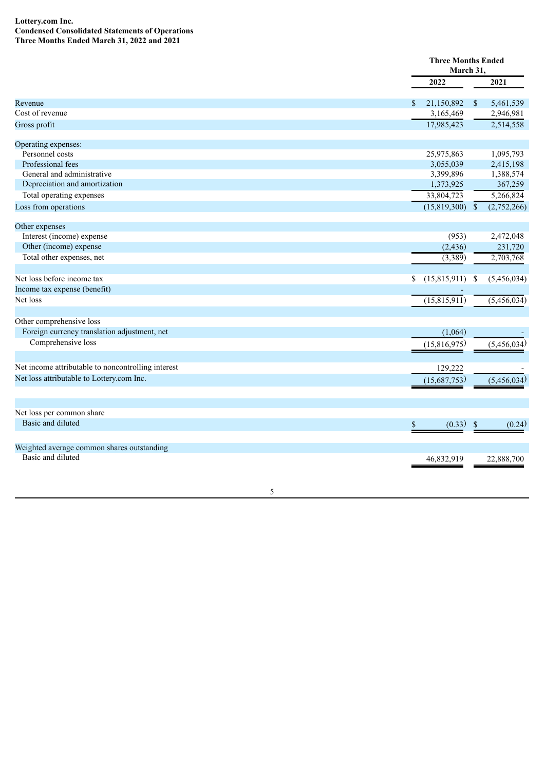### **Lottery.com Inc. Condensed Consolidated Statements of Operations Three Months Ended March 31, 2022 and 2021**

|                                                    |                    | <b>Three Months Ended</b><br>March 31, |             |  |
|----------------------------------------------------|--------------------|----------------------------------------|-------------|--|
|                                                    | 2022               |                                        | 2021        |  |
| Revenue                                            | 21,150,892<br>S.   | $\mathbb{S}$                           | 5,461,539   |  |
| Cost of revenue                                    | 3,165,469          |                                        | 2,946,981   |  |
| Gross profit                                       | 17,985,423         |                                        | 2,514,558   |  |
| Operating expenses:                                |                    |                                        |             |  |
| Personnel costs                                    | 25,975,863         |                                        | 1,095,793   |  |
| Professional fees                                  | 3,055,039          |                                        | 2,415,198   |  |
| General and administrative                         | 3,399,896          |                                        | 1,388,574   |  |
| Depreciation and amortization                      | 1,373,925          |                                        | 367,259     |  |
| Total operating expenses                           | 33,804,723         |                                        | 5,266,824   |  |
| Loss from operations                               | (15,819,300)       | $\sqrt{\ }$                            | (2,752,266) |  |
| Other expenses                                     |                    |                                        |             |  |
| Interest (income) expense                          | (953)              |                                        | 2,472,048   |  |
| Other (income) expense                             | (2, 436)           |                                        | 231,720     |  |
| Total other expenses, net                          | (3,389)            |                                        | 2,703,768   |  |
| Net loss before income tax                         | (15,815,911)<br>\$ | -S                                     | (5,456,034) |  |
| Income tax expense (benefit)                       |                    |                                        |             |  |
| Net loss                                           | (15,815,911)       |                                        | (5,456,034) |  |
| Other comprehensive loss                           |                    |                                        |             |  |
| Foreign currency translation adjustment, net       | (1,064)            |                                        |             |  |
| Comprehensive loss                                 | (15,816,975)       |                                        | (5,456,034) |  |
| Net income attributable to noncontrolling interest | 129,222            |                                        |             |  |
| Net loss attributable to Lottery.com Inc.          | (15,687,753)       |                                        | (5,456,034) |  |
|                                                    |                    |                                        |             |  |
| Net loss per common share                          |                    |                                        |             |  |
| Basic and diluted                                  | (0.33)<br>\$       | $\mathbb{S}$                           | (0.24)      |  |
| Weighted average common shares outstanding         |                    |                                        |             |  |
| Basic and diluted                                  | 46,832,919         |                                        | 22,888,700  |  |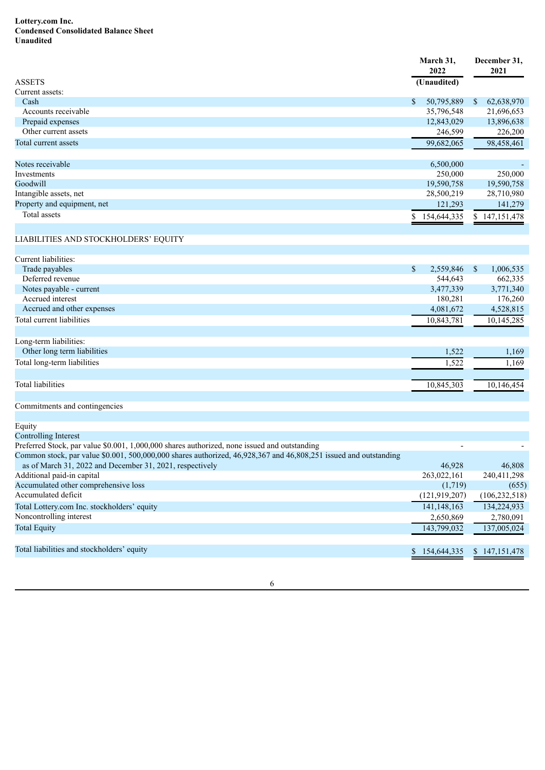### **Lottery.com Inc. Condensed Consolidated Balance Sheet Unaudited**

|                             | March 31,<br>2022 | December 31,<br>2021        |  |
|-----------------------------|-------------------|-----------------------------|--|
| <b>ASSETS</b>               | (Unaudited)       |                             |  |
| Current assets:             |                   |                             |  |
| Cash                        | \$<br>50,795,889  | 62,638,970<br><sup>\$</sup> |  |
| Accounts receivable         | 35,796,548        | 21,696,653                  |  |
| Prepaid expenses            | 12,843,029        | 13,896,638                  |  |
| Other current assets        | 246,599           | 226,200                     |  |
| Total current assets        | 99,682,065        | 98,458,461                  |  |
|                             |                   |                             |  |
| Notes receivable            | 6,500,000         | ٠                           |  |
| Investments                 | 250,000           | 250,000                     |  |
| Goodwill                    | 19,590,758        | 19,590,758                  |  |
| Intangible assets, net      | 28,500,219        | 28,710,980                  |  |
| Property and equipment, net | 121,293           | 141,279                     |  |
| Total assets                | 154,644,335       | \$147,151,478               |  |
|                             |                   |                             |  |

# LIABILITIES AND STOCKHOLDERS' EQUITY

| Current liabilities:        |                 |              |            |
|-----------------------------|-----------------|--------------|------------|
| Trade payables              | \$<br>2,559,846 | <sup>S</sup> | 1,006,535  |
| Deferred revenue            | 544,643         |              | 662,335    |
| Notes payable - current     | 3,477,339       |              | 3,771,340  |
| Accrued interest            | 180,281         |              | 176,260    |
| Accrued and other expenses  | 4,081,672       |              | 4,528,815  |
| Total current liabilities   | 10,843,781      |              | 10,145,285 |
| Long-term liabilities:      |                 |              |            |
| Other long term liabilities | 1,522           |              | 1,169      |
| Total long-term liabilities | 1,522           |              | 1,169      |
|                             |                 |              |            |

Total liabilities 10,845,303 10,146,454 10,845,303 10,146,454

Commitments and contingencies

| Equity                                                                                                           |                          |                 |
|------------------------------------------------------------------------------------------------------------------|--------------------------|-----------------|
| Controlling Interest                                                                                             |                          |                 |
| Preferred Stock, par value \$0.001, 1,000,000 shares authorized, none issued and outstanding                     | $\overline{\phantom{0}}$ |                 |
| Common stock, par value \$0.001, 500,000,000 shares authorized, 46,928,367 and 46,808,251 issued and outstanding |                          |                 |
| as of March 31, 2022 and December 31, 2021, respectively                                                         | 46,928                   | 46.808          |
| Additional paid-in capital                                                                                       | 263,022,161              | 240,411,298     |
| Accumulated other comprehensive loss                                                                             | (1,719)                  | (655)           |
| Accumulated deficit                                                                                              | (121, 919, 207)          | (106, 232, 518) |
| Total Lottery.com Inc. stockholders' equity                                                                      | 141, 148, 163            | 134,224,933     |
| Noncontrolling interest                                                                                          | 2,650,869                | 2,780,091       |
| <b>Total Equity</b>                                                                                              | 143,799,032              | 137,005,024     |
|                                                                                                                  |                          |                 |
| Total liabilities and stockholders' equity                                                                       | 154,644,335              | \$147,151,478   |
|                                                                                                                  |                          |                 |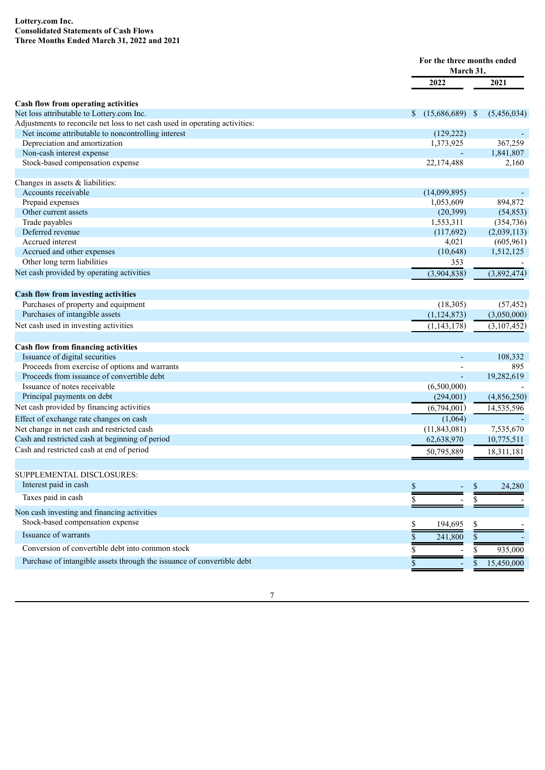### **Lottery.com Inc. Consolidated Statements of Cash Flows Three Months Ended March 31, 2022 and 2021**

|                                                                             |                         | For the three months ended<br>March 31. |  |  |
|-----------------------------------------------------------------------------|-------------------------|-----------------------------------------|--|--|
|                                                                             | 2022                    | 2021                                    |  |  |
| Cash flow from operating activities                                         |                         |                                         |  |  |
| Net loss attributable to Lottery.com Inc.                                   | $(15,686,689)$ \$<br>S. | (5,456,034)                             |  |  |
| Adjustments to reconcile net loss to net cash used in operating activities: |                         |                                         |  |  |
| Net income attributable to noncontrolling interest                          | (129, 222)              |                                         |  |  |
| Depreciation and amortization                                               | 1,373,925               | 367,259                                 |  |  |
| Non-cash interest expense                                                   |                         | 1,841,807                               |  |  |
| Stock-based compensation expense                                            | 22,174,488              | 2,160                                   |  |  |
|                                                                             |                         |                                         |  |  |
| Changes in assets $&$ liabilities:                                          |                         |                                         |  |  |
| Accounts receivable                                                         | (14,099,895)            |                                         |  |  |
| Prepaid expenses                                                            | 1,053,609               | 894,872                                 |  |  |
| Other current assets                                                        | (20, 399)               | (54, 853)                               |  |  |
| Trade payables                                                              | 1,553,311               | (354, 736)                              |  |  |
| Deferred revenue                                                            | (117,692)               | (2,039,113)                             |  |  |
| Accrued interest                                                            | 4,021                   | (605, 961)                              |  |  |
| Accrued and other expenses                                                  | (10, 648)               | 1,512,125                               |  |  |
| Other long term liabilities                                                 | 353                     |                                         |  |  |
| Net cash provided by operating activities                                   | (3,904,838)             | (3,892,474)                             |  |  |
| <b>Cash flow from investing activities</b>                                  |                         |                                         |  |  |
| Purchases of property and equipment                                         | (18, 305)               | (57, 452)                               |  |  |
| Purchases of intangible assets                                              | (1, 124, 873)           | (3,050,000)                             |  |  |
| Net cash used in investing activities                                       | (1, 143, 178)           | (3,107,452)                             |  |  |
| Cash flow from financing activities                                         |                         |                                         |  |  |
| Issuance of digital securities                                              |                         | 108,332                                 |  |  |
| Proceeds from exercise of options and warrants                              |                         | 895                                     |  |  |
| Proceeds from issuance of convertible debt                                  |                         | 19,282,619                              |  |  |
| Issuance of notes receivable                                                | (6,500,000)             |                                         |  |  |
| Principal payments on debt                                                  | (294,001)               | (4,856,250)                             |  |  |
| Net cash provided by financing activities                                   | (6,794,001)             | 14,535,596                              |  |  |
| Effect of exchange rate changes on cash                                     | (1,064)                 |                                         |  |  |
| Net change in net cash and restricted cash                                  | (11, 843, 081)          | 7,535,670                               |  |  |
| Cash and restricted cash at beginning of period                             |                         |                                         |  |  |
|                                                                             | 62,638,970              | 10,775,511                              |  |  |
| Cash and restricted cash at end of period                                   | 50,795,889              | 18,311,181                              |  |  |
| SUPPLEMENTAL DISCLOSURES:                                                   |                         |                                         |  |  |
| Interest paid in cash                                                       | \$                      | 24,280<br>\$                            |  |  |
| Taxes paid in cash                                                          | \$                      | \$                                      |  |  |
| Non cash investing and financing activities                                 |                         |                                         |  |  |
| Stock-based compensation expense                                            | \$<br>194,695           | \$                                      |  |  |
| Issuance of warrants                                                        | 241,800<br>\$           | \$                                      |  |  |
| Conversion of convertible debt into common stock                            | \$                      | 935,000                                 |  |  |
| Purchase of intangible assets through the issuance of convertible debt      |                         |                                         |  |  |
|                                                                             | \$                      | 15,450,000<br>S                         |  |  |